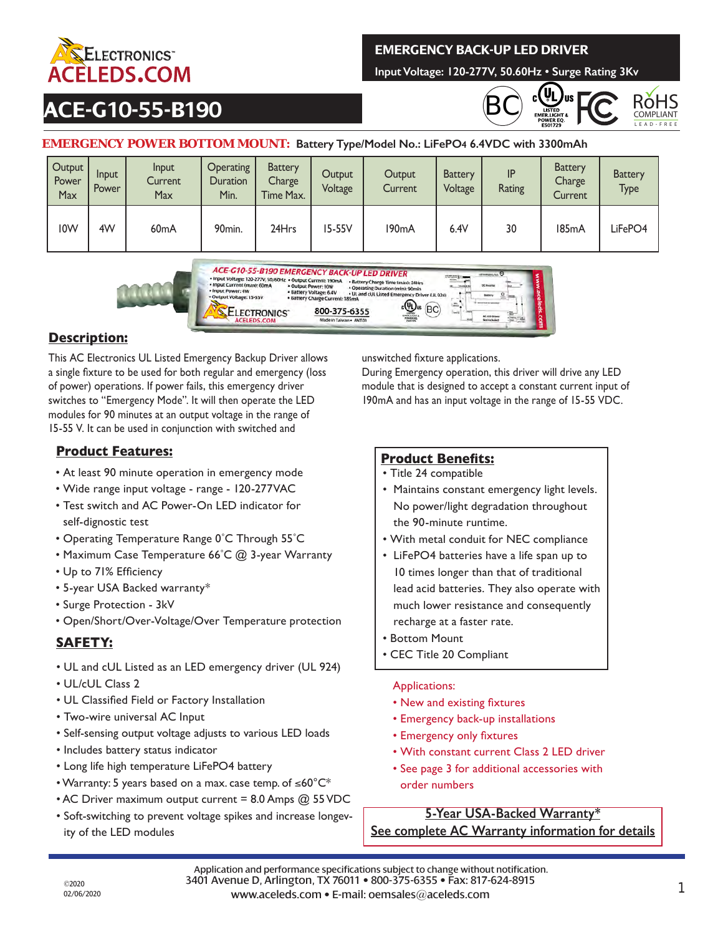

## **EMERGENCY BACK-UP LED DRIVER**

**Input Voltage: 120-277V, 50.60Hz • Surge Rating 3Kv**

## **ACE-G10-55-B190**





#### **EMERGENCY POWER BOTTOM MOUNT: Battery Type/Model No.: LiFePO4 6.4VDC with 3300mAh**

| Output<br>Power<br>Max | <b>Input</b><br>Power | Input<br>Current<br>Max | <b>Operating</b><br><b>Duration</b><br>Min. | <b>Battery</b><br>Charge <sup>1</sup><br>Time Max. | Output<br>Voltage | Output<br>Current  | <b>Battery</b><br>Voltage | IP<br>Rating | <b>Battery</b><br>Charge<br>Current | <b>Battery</b><br><b>Type</b> |
|------------------------|-----------------------|-------------------------|---------------------------------------------|----------------------------------------------------|-------------------|--------------------|---------------------------|--------------|-------------------------------------|-------------------------------|
| I <sub>0</sub> W       | 4W                    | 60 <sub>m</sub> A       | 90 <sub>min.</sub>                          | 24Hrs                                              | 15-55V            | 190 <sub>m</sub> A | 6.4V                      | 30           | 185 <sub>m</sub> A                  | LiFePO4                       |



## **Description:**

This AC Electronics UL Listed Emergency Backup Driver allows a single fixture to be used for both regular and emergency (loss of power) operations. If power fails, this emergency driver switches to "Emergency Mode". It will then operate the LED modules for 90 minutes at an output voltage in the range of 15-55 V. It can be used in conjunction with switched and

## **Product Features:**

- At least 90 minute operation in emergency mode
- Wide range input voltage range 120-277VAC
- Test switch and AC Power-On LED indicator for self-dignostic test
- Operating Temperature Range 0˚C Through 55˚C
- Maximum Case Temperature 66°C @ 3-year Warranty
- Up to 71% Efficiency
- 5-year USA Backed warranty\*
- Surge Protection 3kV
- Open/Short/Over-Voltage/Over Temperature protection

## **SAFETY:**

- UL and cUL Listed as an LED emergency driver (UL 924)
- UL/cUL Class 2
- UL Classified Field or Factory Installation
- Two-wire universal AC Input
- Self-sensing output voltage adjusts to various LED loads
- Includes battery status indicator
- Long life high temperature LiFePO4 battery
- Warranty: 5 years based on a max. case temp. of ≤60°C\*
- AC Driver maximum output current = 8.0 Amps @ 55 VDC
- Soft-switching to prevent voltage spikes and increase longevity of the LED modules

unswitched fixture applications.

During Emergency operation, this driver will drive any LED module that is designed to accept a constant current input of 190mA and has an input voltage in the range of 15-55 VDC.

#### **Product Benefits:**

- Title 24 compatible
- Maintains constant emergency light levels. No power/light degradation throughout the 90-minute runtime.
- With metal conduit for NEC compliance
- LiFePO4 batteries have a life span up to 10 times longer than that of traditional lead acid batteries. They also operate with much lower resistance and consequently recharge at a faster rate.
- Bottom Mount
- CEC Title 20 Compliant

#### Applications:

- New and existing fixtures
- Emergency back-up installations
- Emergency only fixtures
- With constant current Class 2 LED driver
- See page 3 for additional accessories with

order numbers

#### **5-Year USA-Backed Warranty\***

**See complete AC Warranty information for details**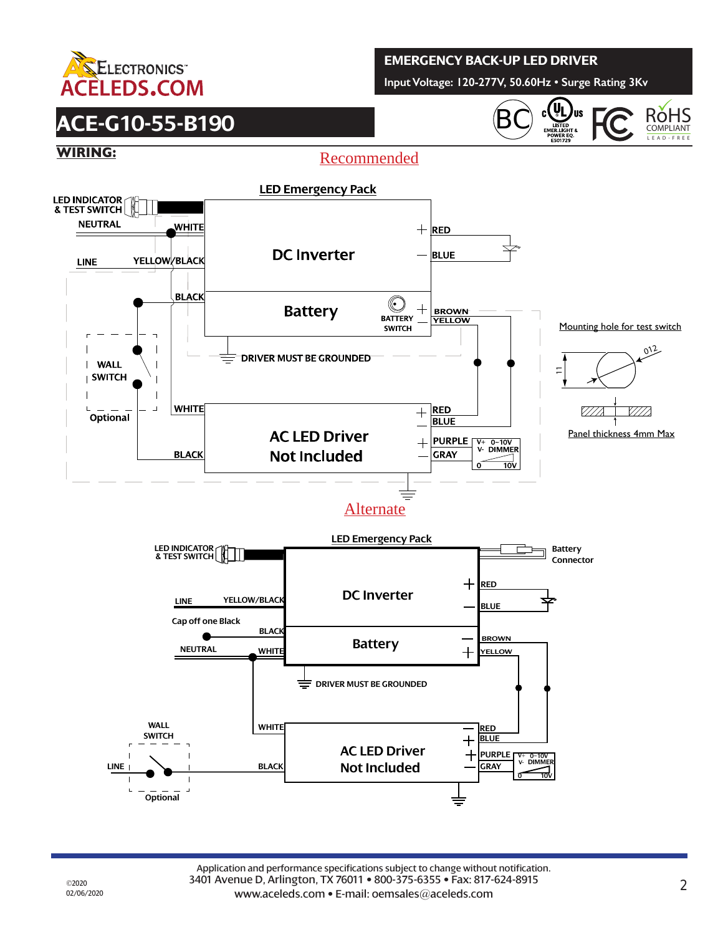

## **EMERGENCY BACK-UP LED DRIVER**

**Input Voltage: 120-277V, 50.60Hz • Surge Rating 3Kv**

# **ACE-G10-55-B190**







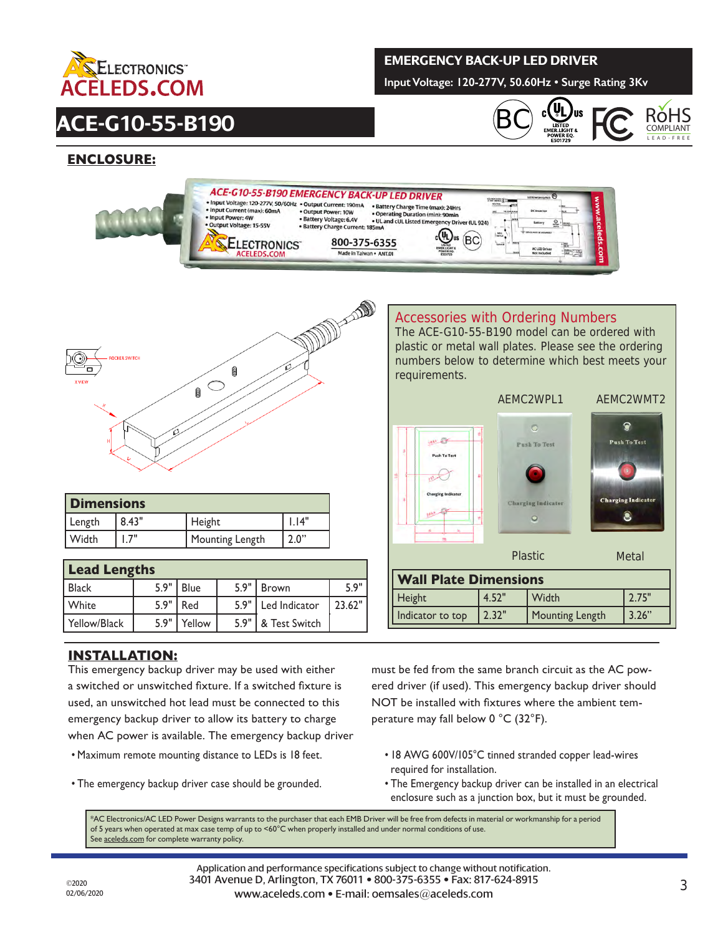

# **ACE-G10-55-B190**

#### **EMERGENCY BACK-UP LED DRIVER**

**Input Voltage: 120-277V, 50.60Hz • Surge Rating 3Kv**





### **ENCLOSURE:**





| <b>Dimensions</b> |       |                 |       |  |  |  |
|-------------------|-------|-----------------|-------|--|--|--|
| Length            | 8.43" | Height          | . 14" |  |  |  |
| l Width           | .7"   | Mounting Length | 2.0"  |  |  |  |

| <b>Lead Lengths</b> |      |             |      |                      |        |  |  |  |  |
|---------------------|------|-------------|------|----------------------|--------|--|--|--|--|
| l Black             | 5.9" | <b>Blue</b> | 5.9" | <b>Brown</b>         | 5.9"   |  |  |  |  |
| <b>White</b>        | 5.9" | Red         | 5.9" | Led Indicator        | 23.62" |  |  |  |  |
| Yellow/Black        | 5.9" | Yellow      |      | 5.9"   & Test Switch |        |  |  |  |  |

#### **INSTALLATION:**

This emergency backup driver may be used with either a switched or unswitched fixture. If a switched fixture is used, an unswitched hot lead must be connected to this emergency backup driver to allow its battery to charge when AC power is available. The emergency backup driver

- Maximum remote mounting distance to LEDs is 18 feet.
- The emergency backup driver case should be grounded.

#### Accessories with Ordering Numbers

The ACE-G10-55-B190 model can be ordered with plastic or metal wall plates. Please see the ordering numbers below to determine which best meets your requirements.



must be fed from the same branch circuit as the AC powered driver (if used). This emergency backup driver should NOT be installed with fixtures where the ambient temperature may fall below 0 °C (32°F).

- 18 AWG 600V/105°C tinned stranded copper lead-wires required for installation.
- The Emergency backup driver can be installed in an electrical enclosure such as a junction box, but it must be grounded.

\*AC Electronics/AC LED Power Designs warrants to the purchaser that each EMB Driver will be free from defects in material or workmanship for a period of 5 years when operated at max case temp of up to  $<$ 60 $^{\circ}$ C when properly installed and under normal conditions of use. See aceleds.com for complete warranty policy.